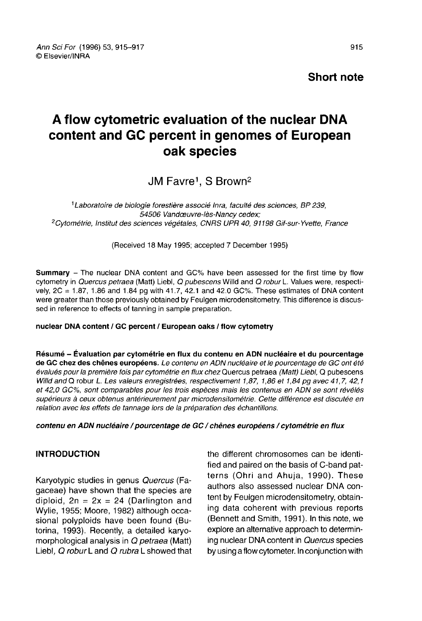Ann Sci For (1996) 53, 915-917 © Fisevier/INRA

Short note

# A flow cytometric evaluation of the nuclear DNA content and GC percent in genomes of European oak species

# JM Favre<sup>1</sup>. S Brown<sup>2</sup>

<sup>1</sup> Laboratoire de biologie forestière associé Inra, faculté des sciences, BP 239, <sup>1</sup>Labor<br><sup>2</sup>Cytométrie, 54506 Vandœuvre-lès-Nancy cedex; <sup>2</sup>Cytométrie, Institut des sciences végétales, CNRS UPR 40, 91198 Gif-sur-Yvette, France

(Received 18 May 1995; accepted 7 December 1995)

Summary - The nuclear DNA content and GC% have been assessed for the first time by flow cytometry in Quercus petraea (Matt) Liebl, Q pubescens Willd and Q robur L. Values were, respectively, 2C = 1.87, 1.86 and 1.84 pg with 41.7, 42.1 and 42.0 GC%. These estimates of DNA content were greater than those previously obtained by Feulgen microdensitometry. This difference is discussed in reference to effects of tanning in sample preparation.

#### nuclear DNA content / GC percent / European oaks / flow cytometry

Résumé - Évaluation par cytométrie en flux du contenu en ADN nucléaire et du pourcentage<br>de GC chez des chênes européens. Le contenu en ADN nucléaire et le pourcentage de GC ont été évalués pour la première fois par cytométrie en flux chez Quercus petraea (Matt) Liebl, Q pubescens Willd and Q robur L. Les valeurs enregistrées, respectivement 1,87, 1,86 et 1,84 pg avec 41,7, 42,1 et 42,0 GC%, sont comparables pour les trois espèces mais les contenus en ADN se sont révélés supérieurs à ceux obtenus antérieurement par microdensitométrie. Cette différence est discutée en relation avec les effets de tannage lors de la préparation des échantillons.

#### contenu en ADN nucléaire / pourcentage de GC / chênes européens / cytométrie en flux

#### INTRODUCTION

Karyotypic studies in genus Quercus (Fagaceae) have shown that the species are diploid,  $2n = 2x = 24$  (Darlington and Wylie, 1955; Moore, 1982) although occasional polyploids have been found (Butorina, 1993). Recently, a detailed karyomorphological analysis in Q petraea (Matt) Liebl, Q robur L and Q rubra L showed that the different chromosomes can be identified and paired on the basis of C-band pat terns (Ohri and Ahuja, 1990). These authors also assessed nuclear DNA content by Feulgen microdensitometry, obtaining data coherent with previous reports (Bennett and Smith, 1991). In this note, we explore an alternative approach to determining nuclear DNA content in Quercus species by using a flow cytometer. In conjunction with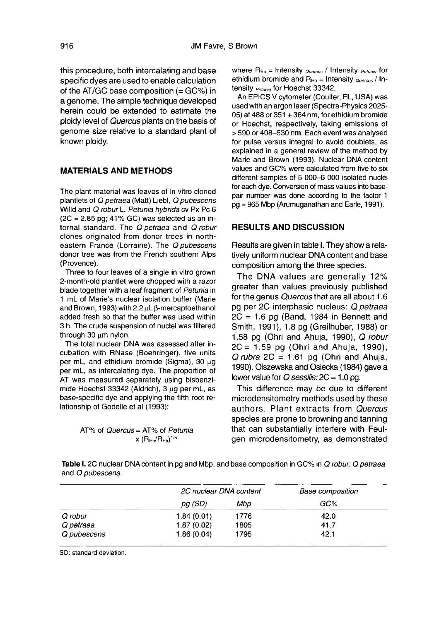this procedure, both intercalating and base specific dyes are used to enable calculation of the AT/GC base composition  $(=GC%)$  in a genome. The simple technique developed herein could be extended to estimate the ploidy level of Quercus plants on the basis of genome size relative to a standard plant of known ploidy.

## MATERIALS AND METHODS

The plant material was leaves of in vitro cloned plantlets of Q petraea (Matt) Liebl, Q pubescens Willd and Q robur L. Petunia hybrida cv Px Pc 6  $(2C = 2.85$  pg; 41% GC) was selected as an internal standard. The Q petraea and Q robur clones originated from donor trees in northeastern France (Lorraine). The Q pubescens donor tree was from the French southern Alps (Provence).

Three to four leaves of a single in vitro grown 2-month-old plantlet were chopped with a razor blade together with a leaf fragment of Petunia in 1 mL of Marie's nuclear isolation buffer (Marie and Brown, 1993) with 2.2 μL β-mercaptoethanol added fresh so that the buffer was used within 3 h. The crude suspension of nuclei was filtered through 30 μm nylon.

The total nuclear DNA was assessed after incubation with RNase (Boehringer), five units per mL, and ethidium bromide (Sigma), 30 μg per mL, as intercalating dye. The proportion of AT was measured separately using bisbenzimide Hoechst 33342 (Aldrich), 3 μg per mL, as base-specific dye and applying the fifth root relationship of Godelle et al (1993):

AT% of *Quercus* = AT% of Petunia 
$$
x (R_{Ho}/R_{Eb})^{1/5}
$$

where  $R_{Fb}$  = Intensity  $_{Quench}$  / Intensity  $_{Patuola}$  for ethidium bromide and  $R_{Ho}$  = Intensity  $_{Quercus}$  / Intensity <sub>Petunia</sub> for Hoechst 33342.

An EPICS V cytometer (Coulter, FL, USA) was used with an argon laser (Spectra-Physics 2025- 05) at 488 or 351 + 364 nm, for ethidium bromide or Hoechst, respectively, taking emissions of > 590 or 408-530 nm. Each event was analysed for pulse versus integral to avoid doublets, as explained in a general review of the method by Marie and Brown (1993). Nuclear DNA content values and GC% were calculated from five to six different samples of 5 000-6 000 isolated nuclei for each dye. Conversion of mass values into basepair number was done according to the factor 1 pg = 965 Mbp (Arumuganathan and Earle, 1991).

#### RESULTS AND DISCUSSION

Results are given in table I. They show a relatively uniform nuclear DNA content and base composition among the three species.

The DNA values are generally 12% greater than values previously published for the genus Quercus that are all about 1.6 pg per 2C interphasic nucleus: Q petraea  $2C = 1.6$  pg (Band, 1984 in Bennett and Smith, 1991), 1.8 pg (Greilhuber, 1988) or 1.58 pg (Ohri and Ahuja, 1990), Q robur  $2C = 1.59$  pg (Ohri and Ahuja, 1990).  $Q$  rubra 2C = 1.61 pg (Ohri and Ahuja, 1990). Olszewska and Osiecka (1984) gave a lower value for  $Q$  sessilis:  $2C = 1.0$  pg.

This difference may be due to different microdensitometry methods used by these authors. Plant extracts from Quercus species are prone to browning and tanning that can substantially interfere with Feulgen microdensitometry, as demonstrated

Table I. 2C nuclear DNA content in pg and Mbp, and base composition in GC% in Q robur, Q petraea and Q pubescens.

|             | 2C nuclear DNA content |      | <b>Base composition</b> |
|-------------|------------------------|------|-------------------------|
|             | pg (SD)                | Mbo  | GC%                     |
| Q robur     | 1.84(0.01)             | 1776 | 42.0                    |
| Q petraea   | 1.87(0.02)             | 1805 | 41.7                    |
| Q pubescens | 1.86(0.04)             | 1795 | 42.1                    |

SD: standard deviation.